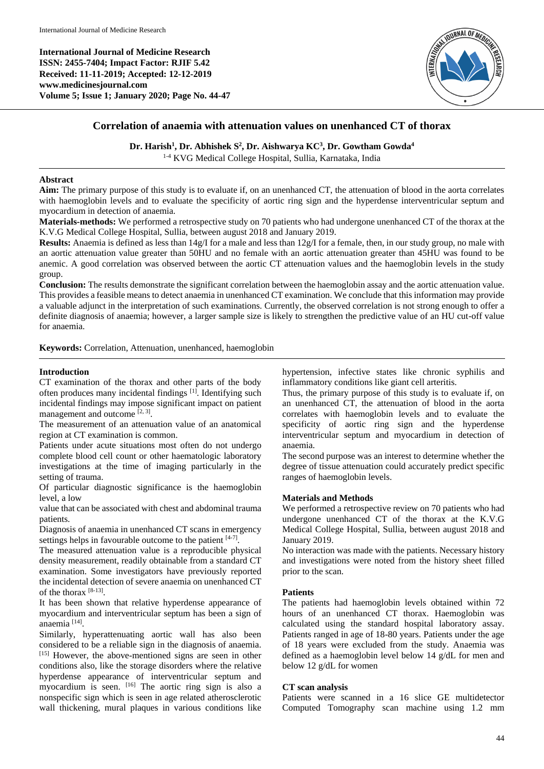**International Journal of Medicine Research ISSN: 2455-7404; Impact Factor: RJIF 5.42 Received: 11-11-2019; Accepted: 12-12-2019 www.medicinesjournal.com Volume 5; Issue 1; January 2020; Page No. 44-47**



# **Correlation of anaemia with attenuation values on unenhanced CT of thorax**

**Dr. Harish<sup>1</sup> , Dr. Abhishek S<sup>2</sup> , Dr. Aishwarya KC<sup>3</sup> , Dr. Gowtham Gowda<sup>4</sup>**

1-4 KVG Medical College Hospital, Sullia, Karnataka, India

## **Abstract**

**Aim:** The primary purpose of this study is to evaluate if, on an unenhanced CT, the attenuation of blood in the aorta correlates with haemoglobin levels and to evaluate the specificity of aortic ring sign and the hyperdense interventricular septum and myocardium in detection of anaemia.

**Materials-methods:** We performed a retrospective study on 70 patients who had undergone unenhanced CT of the thorax at the K.V.G Medical College Hospital, Sullia, between august 2018 and January 2019.

**Results:** Anaemia is defined as less than 14g/I for a male and less than 12g/I for a female, then, in our study group, no male with an aortic attenuation value greater than 50HU and no female with an aortic attenuation greater than 45HU was found to be anemic. A good correlation was observed between the aortic CT attenuation values and the haemoglobin levels in the study group.

**Conclusion:** The results demonstrate the significant correlation between the haemoglobin assay and the aortic attenuation value. This provides a feasible means to detect anaemia in unenhanced CT examination. We conclude that this information may provide a valuable adjunct in the interpretation of such examinations. Currently, the observed correlation is not strong enough to offer a definite diagnosis of anaemia; however, a larger sample size is likely to strengthen the predictive value of an HU cut-off value for anaemia.

**Keywords:** Correlation, Attenuation, unenhanced, haemoglobin

## **Introduction**

CT examination of the thorax and other parts of the body often produces many incidental findings [1]. Identifying such incidental findings may impose significant impact on patient management and outcome  $[2, 3]$ .

The measurement of an attenuation value of an anatomical region at CT examination is common.

Patients under acute situations most often do not undergo complete blood cell count or other haematologic laboratory investigations at the time of imaging particularly in the setting of trauma.

Of particular diagnostic significance is the haemoglobin level, a low

value that can be associated with chest and abdominal trauma patients.

Diagnosis of anaemia in unenhanced CT scans in emergency settings helps in favourable outcome to the patient  $[4-7]$ .

The measured attenuation value is a reproducible physical density measurement, readily obtainable from a standard CT examination. Some investigators have previously reported the incidental detection of severe anaemia on unenhanced CT of the thorax [8-13] .

It has been shown that relative hyperdense appearance of myocardium and interventricular septum has been a sign of anaemia [14] .

Similarly, hyperattenuating aortic wall has also been considered to be a reliable sign in the diagnosis of anaemia. [15] However, the above-mentioned signs are seen in other conditions also, like the storage disorders where the relative hyperdense appearance of interventricular septum and myocardium is seen. [16] The aortic ring sign is also a nonspecific sign which is seen in age related atherosclerotic wall thickening, mural plaques in various conditions like

hypertension, infective states like chronic syphilis and inflammatory conditions like giant cell arteritis.

Thus, the primary purpose of this study is to evaluate if, on an unenhanced CT, the attenuation of blood in the aorta correlates with haemoglobin levels and to evaluate the specificity of aortic ring sign and the hyperdense interventricular septum and myocardium in detection of anaemia.

The second purpose was an interest to determine whether the degree of tissue attenuation could accurately predict specific ranges of haemoglobin levels.

## **Materials and Methods**

We performed a retrospective review on 70 patients who had undergone unenhanced CT of the thorax at the K.V.G Medical College Hospital, Sullia, between august 2018 and January 2019.

No interaction was made with the patients. Necessary history and investigations were noted from the history sheet filled prior to the scan.

## **Patients**

The patients had haemoglobin levels obtained within 72 hours of an unenhanced CT thorax. Haemoglobin was calculated using the standard hospital laboratory assay. Patients ranged in age of 18-80 years. Patients under the age of 18 years were excluded from the study. Anaemia was defined as a haemoglobin level below 14 g/dL for men and below 12 g/dL for women

## **CT scan analysis**

Patients were scanned in a 16 slice GE multidetector Computed Tomography scan machine using 1.2 mm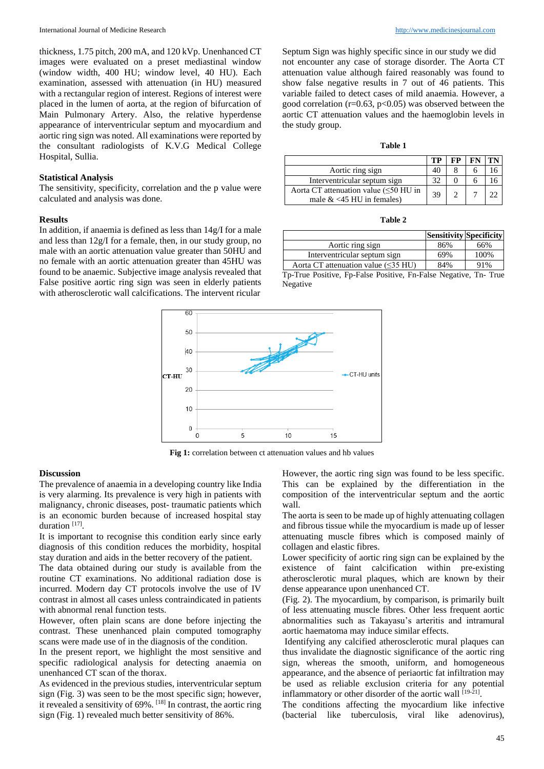thickness, 1.75 pitch, 200 mA, and 120 kVp. Unenhanced CT images were evaluated on a preset mediastinal window (window width, 400 HU; window level, 40 HU). Each examination, assessed with attenuation (in HU) measured with a rectangular region of interest. Regions of interest were placed in the lumen of aorta, at the region of bifurcation of Main Pulmonary Artery. Also, the relative hyperdense appearance of interventricular septum and myocardium and aortic ring sign was noted. All examinations were reported by the consultant radiologists of K.V.G Medical College Hospital, Sullia.

### **Statistical Analysis**

The sensitivity, specificity, correlation and the p value were calculated and analysis was done.

#### **Results**

In addition, if anaemia is defined as less than 14g/I for a male and less than 12g/I for a female, then, in our study group, no male with an aortic attenuation value greater than 50HU and no female with an aortic attenuation greater than 45HU was found to be anaemic. Subjective image analysis revealed that False positive aortic ring sign was seen in elderly patients with atherosclerotic wall calcifications. The intervent ricular

Septum Sign was highly specific since in our study we did not encounter any case of storage disorder. The Aorta CT attenuation value although faired reasonably was found to show false negative results in 7 out of 46 patients. This variable failed to detect cases of mild anaemia. However, a good correlation ( $r=0.63$ ,  $p<0.05$ ) was observed between the aortic CT attenuation values and the haemoglobin levels in the study group.

|                                                                          | TP | FP |  |
|--------------------------------------------------------------------------|----|----|--|
| Aortic ring sign                                                         |    |    |  |
| Interventricular septum sign                                             | 32 |    |  |
| Aorta CT attenuation value $(\leq 50$ HU in<br>male $<45$ HU in females) | 39 |    |  |

**Table 2**

|                                           | Sensitivity Specificity |      |
|-------------------------------------------|-------------------------|------|
| Aortic ring sign                          | 86%                     | 66%  |
| Interventricular septum sign              | 69%                     | 100% |
| Aorta CT attenuation value $(\leq 35$ HU) | 84%                     | 91%  |

Tp-True Positive, Fp-False Positive, Fn-False Negative, Tn- True Negative



**Fig 1:** correlation between ct attenuation values and hb values

#### **Discussion**

The prevalence of anaemia in a developing country like India is very alarming. Its prevalence is very high in patients with malignancy, chronic diseases, post- traumatic patients which is an economic burden because of increased hospital stay duration<sup>[17]</sup>.

It is important to recognise this condition early since early diagnosis of this condition reduces the morbidity, hospital stay duration and aids in the better recovery of the patient.

The data obtained during our study is available from the routine CT examinations. No additional radiation dose is incurred. Modern day CT protocols involve the use of IV contrast in almost all cases unless contraindicated in patients with abnormal renal function tests.

However, often plain scans are done before injecting the contrast. These unenhanced plain computed tomography scans were made use of in the diagnosis of the condition.

In the present report, we highlight the most sensitive and specific radiological analysis for detecting anaemia on unenhanced CT scan of the thorax.

As evidenced in the previous studies, interventricular septum sign (Fig. 3) was seen to be the most specific sign; however, it revealed a sensitivity of  $69\%$ . <sup>[18]</sup> In contrast, the aortic ring sign (Fig. 1) revealed much better sensitivity of 86%.

However, the aortic ring sign was found to be less specific. This can be explained by the differentiation in the composition of the interventricular septum and the aortic wall.

The aorta is seen to be made up of highly attenuating collagen and fibrous tissue while the myocardium is made up of lesser attenuating muscle fibres which is composed mainly of collagen and elastic fibres.

Lower specificity of aortic ring sign can be explained by the existence of faint calcification within pre-existing atherosclerotic mural plaques, which are known by their dense appearance upon unenhanced CT.

(Fig. 2). The myocardium, by comparison, is primarily built of less attenuating muscle fibres. Other less frequent aortic abnormalities such as Takayasu's arteritis and intramural aortic haematoma may induce similar effects.

Identifying any calcified atherosclerotic mural plaques can thus invalidate the diagnostic significance of the aortic ring sign, whereas the smooth, uniform, and homogeneous appearance, and the absence of periaortic fat infiltration may be used as reliable exclusion criteria for any potential inflammatory or other disorder of the aortic wall [19-21].

The conditions affecting the myocardium like infective (bacterial like tuberculosis, viral like adenovirus),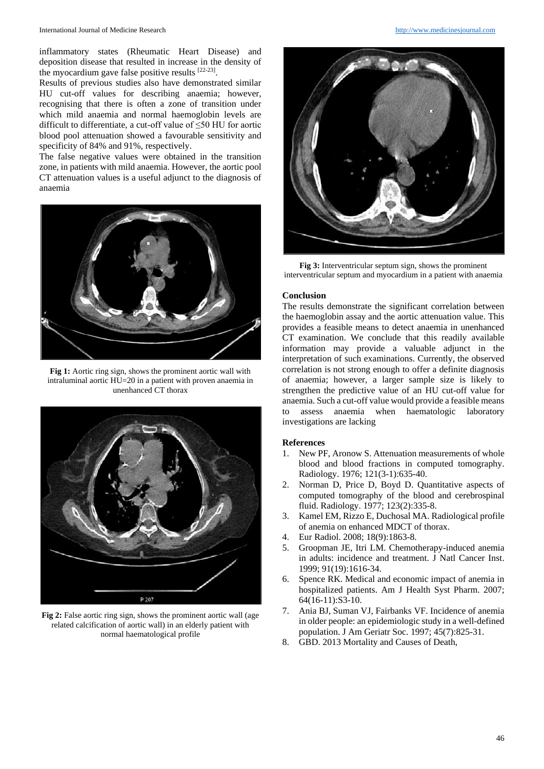inflammatory states (Rheumatic Heart Disease) and deposition disease that resulted in increase in the density of the myocardium gave false positive results  $[22-23]$ .

Results of previous studies also have demonstrated similar HU cut-off values for describing anaemia; however, recognising that there is often a zone of transition under which mild anaemia and normal haemoglobin levels are difficult to differentiate, a cut-off value of ≤50 HU for aortic blood pool attenuation showed a favourable sensitivity and specificity of 84% and 91%, respectively.

The false negative values were obtained in the transition zone, in patients with mild anaemia. However, the aortic pool CT attenuation values is a useful adjunct to the diagnosis of anaemia



**Fig 1:** Aortic ring sign, shows the prominent aortic wall with intraluminal aortic HU=20 in a patient with proven anaemia in unenhanced CT thorax



**Fig 2:** False aortic ring sign, shows the prominent aortic wall (age related calcification of aortic wall) in an elderly patient with normal haematological profile



**Fig 3:** Interventricular septum sign, shows the prominent interventricular septum and myocardium in a patient with anaemia

### **Conclusion**

The results demonstrate the significant correlation between the haemoglobin assay and the aortic attenuation value. This provides a feasible means to detect anaemia in unenhanced CT examination. We conclude that this readily available information may provide a valuable adjunct in the interpretation of such examinations. Currently, the observed correlation is not strong enough to offer a definite diagnosis of anaemia; however, a larger sample size is likely to strengthen the predictive value of an HU cut-off value for anaemia. Such a cut-off value would provide a feasible means to assess anaemia when haematologic laboratory investigations are lacking

#### **References**

- 1. New PF, Aronow S. Attenuation measurements of whole blood and blood fractions in computed tomography. Radiology. 1976; 121(3-1):635-40.
- 2. Norman D, Price D, Boyd D. Quantitative aspects of computed tomography of the blood and cerebrospinal fluid. Radiology. 1977; 123(2):335-8.
- 3. Kamel EM, Rizzo E, Duchosal MA. Radiological profile of anemia on enhanced MDCT of thorax.
- 4. Eur Radiol. 2008; 18(9):1863-8.
- 5. Groopman JE, Itri LM. Chemotherapy-induced anemia in adults: incidence and treatment. J Natl Cancer Inst. 1999; 91(19):1616-34.
- 6. Spence RK. Medical and economic impact of anemia in hospitalized patients. Am J Health Syst Pharm. 2007; 64(16-11):S3-10.
- 7. Ania BJ, Suman VJ, Fairbanks VF. Incidence of anemia in older people: an epidemiologic study in a well-defined population. J Am Geriatr Soc. 1997; 45(7):825-31.
- 8. GBD. 2013 Mortality and Causes of Death,